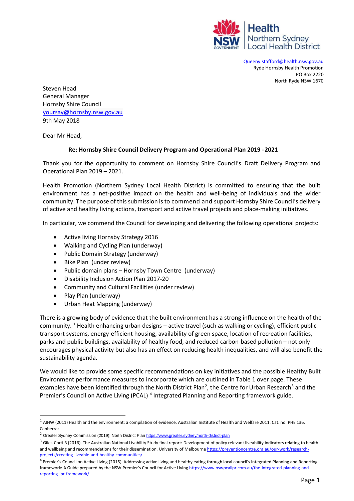

[Queeny.stafford@health.nsw.gov.au](mailto:Queeny.stafford@health.nsw.gov.au) Ryde Hornsby Health Promotion PO Box 2220 North Ryde NSW 1670

Steven Head General Manager Hornsby Shire Council [yoursay@hornsby.nsw.gov.au](mailto:yoursay@hornsby.nsw.gov.au) 9th May 2018

Dear Mr Head,

## **Re: Hornsby Shire Council Delivery Program and Operational Plan 2019 - 2021**

Thank you for the opportunity to comment on Hornsby Shire Council's Draft Delivery Program and Operational Plan 2019 – 2021.

Health Promotion (Northern Sydney Local Health District) is committed to ensuring that the built environment has a net‐positive impact on the health and well-being of individuals and the wider community. The purpose of this submission is to commend and support Hornsby Shire Council's delivery of active and healthy living actions, transport and active travel projects and place-making initiatives.

In particular, we commend the Council for developing and delivering the following operational projects:

- Active living Hornsby Strategy 2016
- Walking and Cycling Plan (underway)
- Public Domain Strategy (underway)
- Bike Plan (under review)
- Public domain plans Hornsby Town Centre (underway)
- Disability Inclusion Action Plan 2017-20
- Community and Cultural Facilities (under review)
- Play Plan (underway)
- Urban Heat Mapping (underway)

There is a growing body of evidence that the built environment has a strong influence on the health of the community. <sup>1</sup> Health enhancing urban designs – active travel (such as walking or cycling), efficient public transport systems, energy-efficient housing, availability of green space, location of recreation facilities, parks and public buildings, availability of healthy food, and reduced carbon-based pollution – not only encourages physical activity but also has an effect on reducing health inequalities, and will also benefit the sustainability agenda.

We would like to provide some specific recommendations on key initiatives and the possible Healthy Built Environment performance measures to incorporate which are outlined in Table 1 over page. These examples have been identified through the North District Plan<sup>[2](#page-0-1)</sup>, the Centre for Urban Research<sup>[3](#page-0-2)</sup> and the Premier's Council on Active Living (PCAL) [4](#page-0-3) Integrated Planning and Reporting framework guide.

<span id="page-0-0"></span> $^1$  AIHW (2011) Health and the environment: a compilation of evidence. Australian Institute of Health and Welfare 2011. Cat. no. PHE 136. Canberra:

<span id="page-0-1"></span><sup>&</sup>lt;sup>2</sup> Greater Sydney Commission (2019)| North District Pla[n https://www.greater.sydney/north-district-plan](https://www.greater.sydney/north-district-plan)

<span id="page-0-2"></span> $3$  Giles-Corti B (2016). The Australian National Livability Study final report: Development of policy relevant liveability indicators relating to health and wellbeing and recommendations for their dissemination. University of Melbourne [https://preventioncentre.org.au/our-work/research](https://preventioncentre.org.au/our-work/research-projects/creating-liveable-and-healthy-communities/)[projects/creating-liveable-and-healthy-communities/](https://preventioncentre.org.au/our-work/research-projects/creating-liveable-and-healthy-communities/)

<span id="page-0-3"></span><sup>&</sup>lt;sup>4</sup> Premier's Council on Active Living (2015) Addressing active living and healthy eating through local council's Integrated Planning and Reporting framework: A Guide prepared by the NSW Premier's Council for Active Living [https://www.nswpcalipr.com.au/the-integrated-planning-and](https://www.nswpcalipr.com.au/the-integrated-planning-and-reporting-ipr-framework/)[reporting-ipr-framework/](https://www.nswpcalipr.com.au/the-integrated-planning-and-reporting-ipr-framework/)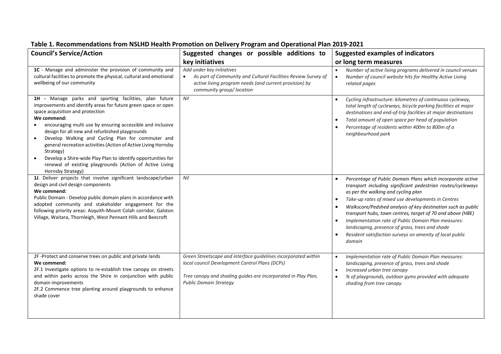## **Council's Service/Action Suggested changes or possible additions to Suggested changes** or possible additions to **key initiatives Suggested examples of indicators or long term measures 1C** - Manage and administer the provision of community and *Add under key initiatives*

## **Table 1. Recommendations from NSLHD Health Promotion on Delivery Program and Operational Plan 2019-2021**

| 1C - Manage and administer the provision of community and                                                                                                                                                                                                                                                                                                                                                                                                                                                                                                                                                  | Add under key initiatives                                                                                                                                                                                          | Number of active living programs delivered in council venues                                                                                                                                                                                                                                                                                                                                                                                                                                                                                                                             |
|------------------------------------------------------------------------------------------------------------------------------------------------------------------------------------------------------------------------------------------------------------------------------------------------------------------------------------------------------------------------------------------------------------------------------------------------------------------------------------------------------------------------------------------------------------------------------------------------------------|--------------------------------------------------------------------------------------------------------------------------------------------------------------------------------------------------------------------|------------------------------------------------------------------------------------------------------------------------------------------------------------------------------------------------------------------------------------------------------------------------------------------------------------------------------------------------------------------------------------------------------------------------------------------------------------------------------------------------------------------------------------------------------------------------------------------|
| cultural facilities to promote the physical, cultural and emotional<br>wellbeing of our community                                                                                                                                                                                                                                                                                                                                                                                                                                                                                                          | As part of Community and Cultural Facilities Review Survey of<br>active living program needs (and current provision) by<br>community group/ location                                                               | Number of council website hits for Healthy Active Living<br>$\bullet$<br>related pages                                                                                                                                                                                                                                                                                                                                                                                                                                                                                                   |
| 1H - Manage parks and sporting facilities, plan future<br>improvements and identify areas for future green space or open<br>space acquisition and protection<br>We commend:<br>encouraging multi use by ensuring accessible and inclusive<br>design for all new and refurbished playgrounds<br>Develop Walking and Cycling Plan for commuter and<br>$\bullet$<br>general recreation activities (Action of Active Living Hornsby<br>Strategy)<br>Develop a Shire-wide Play Plan to identify opportunities for<br>$\bullet$<br>renewal of existing playgrounds (Action of Active Living<br>Hornsby Strategy) | Nil                                                                                                                                                                                                                | Cycling infrastructure: kilometres of continuous cycleway,<br>$\bullet$<br>total length of cycleways, bicycle parking facilities at major<br>destinations and end-of-trip facilities at major destinations<br>Total amount of open space per head of population<br>$\bullet$<br>Percentage of residents within 400m to 800m of a<br>$\bullet$<br>neighbourhood park                                                                                                                                                                                                                      |
| 1J. Deliver projects that involve significant landscape/urban<br>design and civil design components<br>We commend:<br>Public Domain - Develop public domain plans in accordance with<br>adopted community and stakeholder engagement for the<br>following priority areas: Asquith-Mount Colah corridor, Galston<br>Village, Waitara, Thornleigh, West Pennant Hills and Beecroft                                                                                                                                                                                                                           | Nil                                                                                                                                                                                                                | Percentage of Public Domain Plans which incorporate active<br>transport including significant pedestrian routes/cycleways<br>as per the walking and cycling plan<br>Take-up rates of mixed use developments in Centres<br>$\bullet$<br>Walkscore/Pedshed analysis of key destination such as public<br>$\bullet$<br>transport hubs, town centres, target of 70 and above (HBE)<br>Implementation rate of Public Domain Plan measures:<br>$\bullet$<br>landscaping, presence of grass, trees and shade<br>Resident satisfaction surveys on amenity of local public<br>$\bullet$<br>domain |
| 2F-Protect and conserve trees on public and private lands<br>We commend:<br>2F.1 Investigate options to re-establish tree canopy on streets<br>and within parks across the Shire in conjunction with public<br>domain improvements<br>2F.2 Commence tree planting around playgrounds to enhance<br>shade cover                                                                                                                                                                                                                                                                                             | Green Streetscape and interface guidelines incorporated within<br>local council Development Control Plans (DCPs)<br>Tree canopy and shading guides are incorporated in Play Plan,<br><b>Public Domain Strategy</b> | Implementation rate of Public Domain Plan measures:<br>$\bullet$<br>landscaping, presence of grass, trees and shade<br>Increased urban tree canopy<br>$\bullet$<br>% of playgrounds, outdoor gyms provided with adequate<br>$\bullet$<br>shading from tree canopy                                                                                                                                                                                                                                                                                                                        |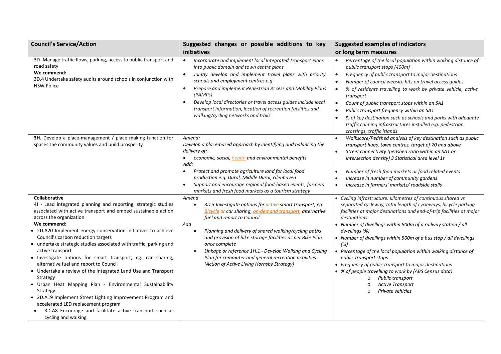| <b>Council's Service/Action</b>                                                                                                                                                                                                                                                                                                                                                                                                                                                                                                                                                                                                                                                                                                                                                                                                                  | Suggested changes or possible additions to key                                                                                                                                                                                                                                                                                                                                                                                                                                                                                 | <b>Suggested examples of indicators</b>                                                                                                                                                                                                                                                                                                                                                                                                                                                                                                                                                                                                                                                              |
|--------------------------------------------------------------------------------------------------------------------------------------------------------------------------------------------------------------------------------------------------------------------------------------------------------------------------------------------------------------------------------------------------------------------------------------------------------------------------------------------------------------------------------------------------------------------------------------------------------------------------------------------------------------------------------------------------------------------------------------------------------------------------------------------------------------------------------------------------|--------------------------------------------------------------------------------------------------------------------------------------------------------------------------------------------------------------------------------------------------------------------------------------------------------------------------------------------------------------------------------------------------------------------------------------------------------------------------------------------------------------------------------|------------------------------------------------------------------------------------------------------------------------------------------------------------------------------------------------------------------------------------------------------------------------------------------------------------------------------------------------------------------------------------------------------------------------------------------------------------------------------------------------------------------------------------------------------------------------------------------------------------------------------------------------------------------------------------------------------|
|                                                                                                                                                                                                                                                                                                                                                                                                                                                                                                                                                                                                                                                                                                                                                                                                                                                  | initiatives                                                                                                                                                                                                                                                                                                                                                                                                                                                                                                                    | or long term measures                                                                                                                                                                                                                                                                                                                                                                                                                                                                                                                                                                                                                                                                                |
| 3D- Manage traffic flows, parking, access to public transport and<br>road safety<br>We commend:<br>3D.4 Undertake safety audits around schools in conjunction with<br><b>NSW Police</b>                                                                                                                                                                                                                                                                                                                                                                                                                                                                                                                                                                                                                                                          | $\bullet$<br>Incorporate and implement local Integrated Transport Plans<br>into public domain and town centre plans<br>Jointly develop and implement travel plans with priority<br>$\bullet$<br>schools and employment centres e.g.<br>Prepare and implement Pedestrian Access and Mobility Plans<br>(PAMPs)<br>Develop local directories or travel access guides include local<br>$\bullet$<br>transport information, location of recreation facilities and<br>walking/cycling networks and trails                            | Percentage of the local population within walking distance of<br>$\bullet$<br>public transport stops (400m)<br>Frequency of public transport to major destinations<br>$\bullet$<br>Number of council website hits on travel access guides<br>$\bullet$<br>% of residents travelling to work by private vehicle, active<br>$\bullet$<br>transport<br>Count of public transport stops within an SA1<br>$\bullet$<br>Public transport frequency within an SA1<br>$\bullet$<br>% of key destination such as schools and parks with adequate<br>$\bullet$<br>traffic calming infrastructures installed e.g. pedestrian<br>crossings, traffic islands                                                      |
| 3H. Develop a place-management / place making function for<br>spaces the community values and build prosperity                                                                                                                                                                                                                                                                                                                                                                                                                                                                                                                                                                                                                                                                                                                                   | Amend:<br>Develop a place-based approach by identifying and balancing the<br>delivery of:<br>economic, social, <i>health</i> and environmental benefits<br>$\bullet$<br>Add:<br>Protect and promote agriculture land for local food<br>$\bullet$<br>production e.g. Dural, Middle Dural, Glenhaven<br>Support and encourage regional food-based events, farmers<br>$\bullet$<br>markets and fresh food markets as a tourism strategy                                                                                           | Walkscore/Pedshed analysis of key destination such as public<br>$\bullet$<br>transport hubs, town centres, target of 70 and above<br>Street connectivity (pedshed ratio within an SA1 or<br>$\bullet$<br>intersection density) 3 Statistical area level 1s<br>Number of fresh food markets or food related events<br>$\bullet$<br>Increase in number of community gardens<br>$\bullet$<br>Increase in farmers' markets/ roadside stalls<br>$\bullet$                                                                                                                                                                                                                                                 |
| Collaborative<br>4J - Lead integrated planning and reporting, strategic studies<br>associated with active transport and embed sustainable action<br>across the organization<br>We commend:<br>• 2D.A20 Implement energy conservation initiatives to achieve<br>Council's carbon reduction targets<br>• undertake strategic studies associated with traffic, parking and<br>active transport<br>· Investigate options for smart transport, eg. car sharing,<br>alternative fuel and report to Council<br>• Undertake a review of the Integrated Land Use and Transport<br>Strategy<br>· Urban Heat Mapping Plan - Environmental Sustainability<br>Strategy<br>• 2D.A19 Implement Street Lighting Improvement Program and<br>accelerated LED replacement program<br>3D.A8 Encourage and facilitate active transport such as<br>cycling and walking | Amend<br>3D.3 Investigate options for <i>active</i> smart transport, eg.<br>$\bullet$<br><b>Bicycle or car sharing, on-demand transport, alternative</b><br>fuel and report to Council<br>Add<br>Planning and delivery of shared walking/cycling paths<br>$\bullet$<br>and provision of bike storage facilities as per Bike Plan<br>once complete<br>Linkage or reference 1H.1 - Develop Walking and Cycling<br>$\bullet$<br>Plan for commuter and general recreation activities<br>(Action of Active Living Hornsby Strategy) | • Cycling infrastructure: kilometres of continuous shared vs<br>separated cycleway, total length of cycleways, bicycle parking<br>facilities at major destinations and end-of-trip facilities at major<br>destinations<br>• Number of dwellings within 800m of a railway station / all<br>dwellings (%)<br>• Number of dwellings within 500m of a bus stop / all dwellings<br>(%)<br>• Percentage of the local population within walking distance of<br>public transport stops<br>• Frequency of public transport to major destinations<br>• % of people travelling to work by (ABS Census data)<br>Public transport<br>$\circ$<br><b>Active Transport</b><br>$\circ$<br>Private vehicles<br>$\circ$ |